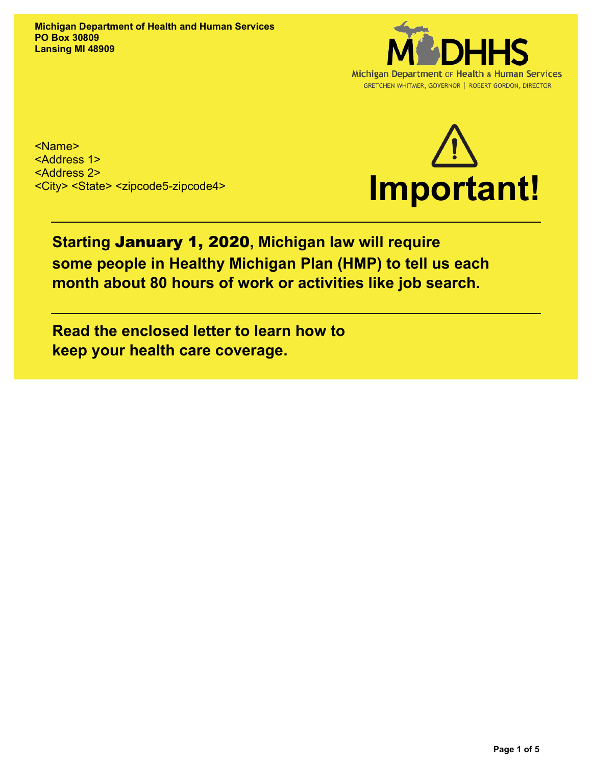**Michigan Department of Health and Human Services PO Box 30809 Lansing MI 48909**



<Name> <Address 1> <Address 2> <City> <State> <zipcode5-zipcode4>



# **Starting** January 1, 2020**, Michigan law will require some people in Healthy Michigan Plan (HMP) to tell us each month about 80 hours of work or activities like job search.**

**Read the enclosed letter to learn how to keep your health care coverage.**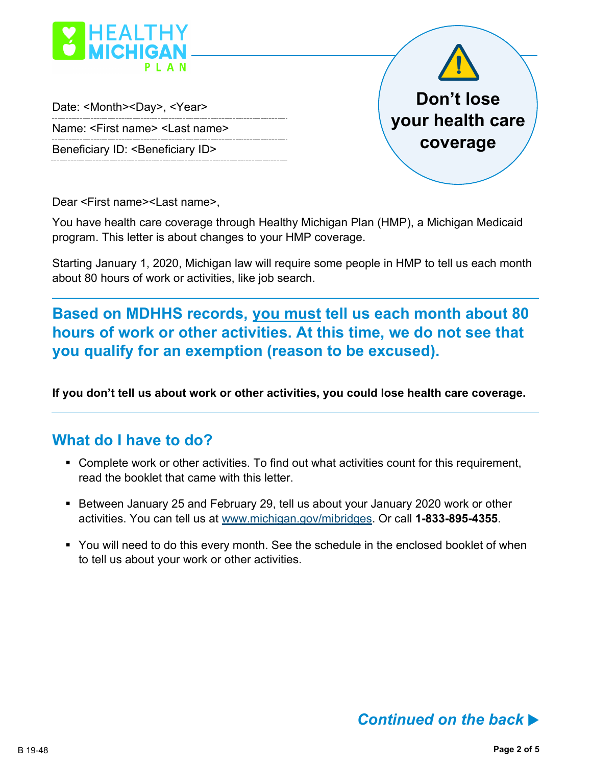

Date: <Month><Day>, <Year>

Name: <First name> <Last name>

Beneficiary ID: <Beneficiary ID>



Dear <First name><Last name>,

You have health care coverage through Healthy Michigan Plan (HMP), a Michigan Medicaid program. This letter is about changes to your HMP coverage.

Starting January 1, 2020, Michigan law will require some people in HMP to tell us each month about 80 hours of work or activities, like job search.

**Based on MDHHS records, you must tell us each month about 80 hours of work or other activities. At this time, we do not see that you qualify for an exemption (reason to be excused).** 

**If you don't tell us about work or other activities, you could lose health care coverage.**

#### **What do I have to do?**

- Complete work or other activities. To find out what activities count for this requirement, read the booklet that came with this letter.
- Between January 25 and February 29, tell us about your January 2020 work or other activities. You can tell us at [www.michigan.gov/mibridges. Or call](http://www.michigan.gov/mibridges.%20Or%20call%201-833-895-4355) **1-833-895-4355**.
- You will need to do this every month. See the schedule in the enclosed booklet of when to tell us about your work or other activities.

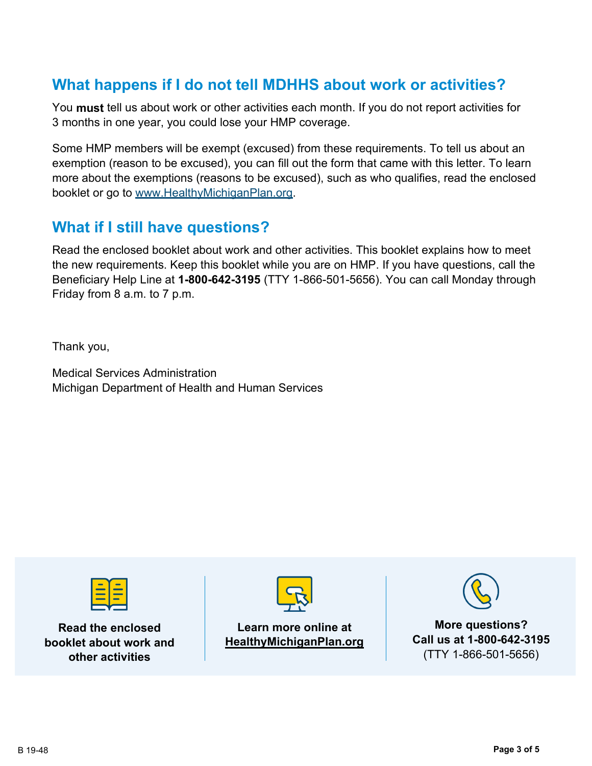## **What happens if I do not tell MDHHS about work or activities?**

You **must** tell us about work or other activities each month. If you do not report activities for 3 months in one year, you could lose your HMP coverage.

Some HMP members will be exempt (excused) from these requirements. To tell us about an exemption (reason to be excused), you can fill out the form that came with this letter. To learn more about the exemptions (reasons to be excused), such as who qualifies, read the enclosed booklet or go to www.HealthyMichiganPlan.org.

### **What if I still have questions?**

Read the enclosed booklet about work and other activities. This booklet explains how to meet the new requirements. Keep this booklet while you are on HMP. If you have questions, call the Beneficiary Help Line at **1-800-642-3195** (TTY 1-866-501-5656). You can call Monday through Friday from 8 a.m. to 7 p.m.

Thank you,

Medical Services Administration Michigan Department of Health and Human Services



**Read the enclosed booklet about work and other activities**



**Learn more online at HealthyMichiganPlan.org**



**More questions? Call us at 1-800-642-3195** (TTY 1-866-501-5656)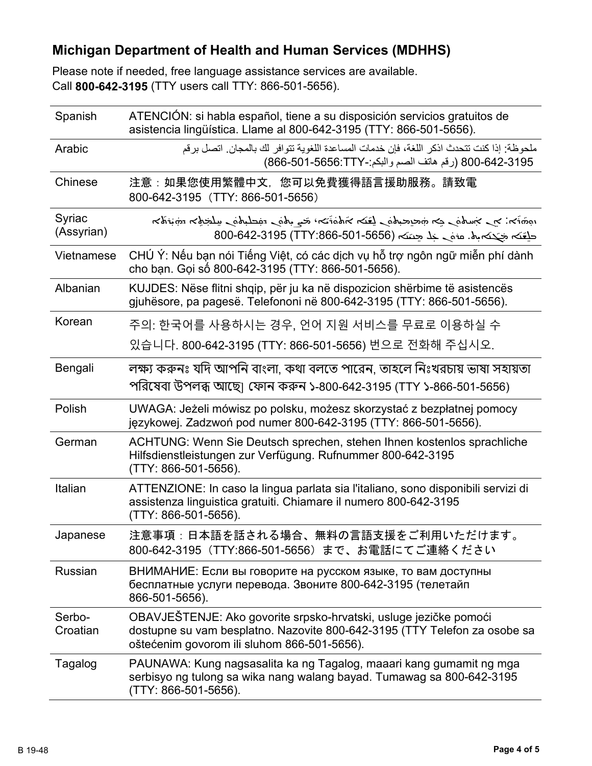### **Michigan Department of Health and Human Services (MDHHS)**

Please note if needed, free language assistance services are available. Call **800-642-3195** (TTY users call TTY: 866-501-5656).

| Spanish              | ATENCIÓN: si habla español, tiene a su disposición servicios gratuitos de<br>asistencia lingüística. Llame al 800-642-3195 (TTY: 866-501-5656).                                               |
|----------------------|-----------------------------------------------------------------------------------------------------------------------------------------------------------------------------------------------|
| Arabic               | ملحوظة· إذا كنت تتحدث اذكر اللغة، فإن خدمات المساعدة اللغوية تتوافر لك بالمجان. اتصل برقم<br>800-642-3195 (رقم هاتف الصم واللكم:-8656:TTY) 866-501-886)                                       |
| Chinese              | 注意:如果您使用繁體中文,您可以免費獲得語言援助服務。請致電<br>800-642-3195 (TTY: 866-501-5656)                                                                                                                            |
| Syriac<br>(Assyrian) | المخترجة المستحملية للمستحق وأناس وتتحرج والمتحاس المستحير والمستحرج والمستحرج المحتمون<br>حلقته جحته باه. عنه خلا جنته (TTY:866-501-5656) 800-642-3195                                       |
| Vietnamese           | CHÚ Ý: Nếu bạn nói Tiếng Việt, có các dịch vụ hỗ trợ ngôn ngữ miễn phí dành<br>cho bạn. Gọi số 800-642-3195 (TTY: 866-501-5656).                                                              |
| Albanian             | KUJDES: Nëse flitni shqip, për ju ka në dispozicion shërbime të asistencës<br>gjuhësore, pa pagesë. Telefononi në 800-642-3195 (TTY: 866-501-5656).                                           |
| Korean               | 주의: 한국어를 사용하시는 경우, 언어 지원 서비스를 무료로 이용하실 수                                                                                                                                                      |
|                      | 있습니다. 800-642-3195 (TTY: 866-501-5656) 번으로 전화해 주십시오.                                                                                                                                          |
| Bengali              | লক্ষ্য করুনঃ যদি আপনি বাংলা, কথা বলতে পারেন, তাহলে নিঃখরচায় ভাষা সহায়তা<br>পরিষেবা উপলব্ধ আছে হফোন করুন ১-800-642-3195 (TTY ১-866-501-5656)                                                 |
| Polish               | UWAGA: Jeżeli mówisz po polsku, możesz skorzystać z bezpłatnej pomocy<br>językowej. Zadzwoń pod numer 800-642-3195 (TTY: 866-501-5656).                                                       |
| German               | ACHTUNG: Wenn Sie Deutsch sprechen, stehen Ihnen kostenlos sprachliche<br>Hilfsdienstleistungen zur Verfügung. Rufnummer 800-642-3195<br>(TTY: 866-501-5656).                                 |
| Italian              | ATTENZIONE: In caso la lingua parlata sia l'italiano, sono disponibili servizi di<br>assistenza linguistica gratuiti. Chiamare il numero 800-642-3195<br>(TTY: 866-501-5656).                 |
| Japanese             | 注意事項:日本語を話される場合、無料の言語支援をご利用いただけます。<br>800-642-3195 (TTY:866-501-5656) まで、お電話にてご連絡ください                                                                                                         |
| Russian              | ВНИМАНИЕ: Если вы говорите на русском языке, то вам доступны<br>бесплатные услуги перевода. Звоните 800-642-3195 (телетайп<br>866-501-5656).                                                  |
| Serbo-<br>Croatian   | OBAVJEŠTENJE: Ako govorite srpsko-hrvatski, usluge jezičke pomoći<br>dostupne su vam besplatno. Nazovite 800-642-3195 (TTY Telefon za osobe sa<br>oštećenim govorom ili sluhom 866-501-5656). |
| Tagalog              | PAUNAWA: Kung nagsasalita ka ng Tagalog, maaari kang gumamit ng mga<br>serbisyo ng tulong sa wika nang walang bayad. Tumawag sa 800-642-3195<br>(TTY: 866-501-5656).                          |